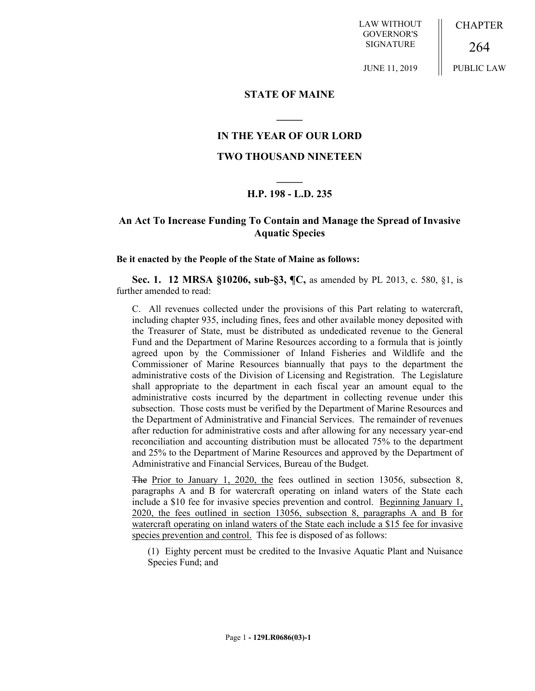LAW WITHOUT GOVERNOR'S SIGNATURE

JUNE 11, 2019

CHAPTER

PUBLIC LAW

264

# **STATE OF MAINE**

# **IN THE YEAR OF OUR LORD**

**\_\_\_\_\_**

### **TWO THOUSAND NINETEEN**

# **\_\_\_\_\_ H.P. 198 - L.D. 235**

# **An Act To Increase Funding To Contain and Manage the Spread of Invasive Aquatic Species**

#### **Be it enacted by the People of the State of Maine as follows:**

**Sec. 1. 12 MRSA §10206, sub-§3, ¶C,** as amended by PL 2013, c. 580, §1, is further amended to read:

C. All revenues collected under the provisions of this Part relating to watercraft, including chapter 935, including fines, fees and other available money deposited with the Treasurer of State, must be distributed as undedicated revenue to the General Fund and the Department of Marine Resources according to a formula that is jointly agreed upon by the Commissioner of Inland Fisheries and Wildlife and the Commissioner of Marine Resources biannually that pays to the department the administrative costs of the Division of Licensing and Registration. The Legislature shall appropriate to the department in each fiscal year an amount equal to the administrative costs incurred by the department in collecting revenue under this subsection. Those costs must be verified by the Department of Marine Resources and the Department of Administrative and Financial Services. The remainder of revenues after reduction for administrative costs and after allowing for any necessary year-end reconciliation and accounting distribution must be allocated 75% to the department and 25% to the Department of Marine Resources and approved by the Department of Administrative and Financial Services, Bureau of the Budget.

The Prior to January 1, 2020, the fees outlined in section 13056, subsection 8, paragraphs A and B for watercraft operating on inland waters of the State each include a \$10 fee for invasive species prevention and control. Beginning January 1, 2020, the fees outlined in section 13056, subsection 8, paragraphs A and B for watercraft operating on inland waters of the State each include a \$15 fee for invasive species prevention and control. This fee is disposed of as follows:

(1) Eighty percent must be credited to the Invasive Aquatic Plant and Nuisance Species Fund; and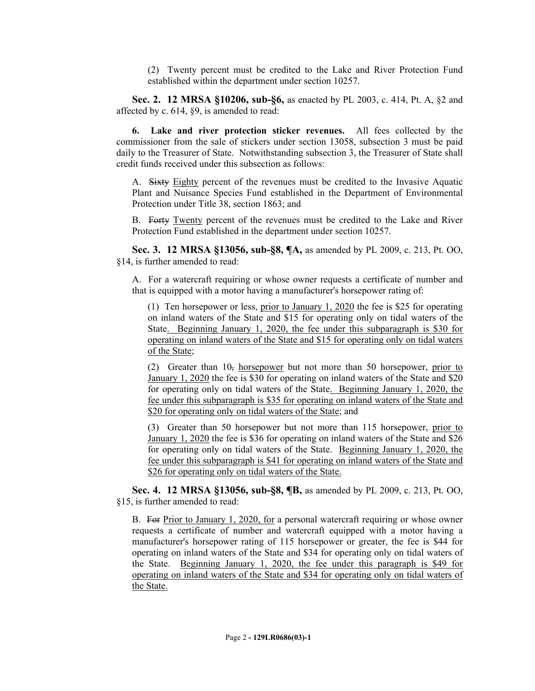(2) Twenty percent must be credited to the Lake and River Protection Fund established within the department under section 10257.

**Sec. 2. 12 MRSA §10206, sub-§6,** as enacted by PL 2003, c. 414, Pt. A, §2 and affected by c. 614, §9, is amended to read:

**6. Lake and river protection sticker revenues.** All fees collected by the commissioner from the sale of stickers under section 13058, subsection 3 must be paid daily to the Treasurer of State. Notwithstanding subsection 3, the Treasurer of State shall credit funds received under this subsection as follows:

A. Sixty Eighty percent of the revenues must be credited to the Invasive Aquatic Plant and Nuisance Species Fund established in the Department of Environmental Protection under Title 38, section 1863; and

B. Forty Twenty percent of the revenues must be credited to the Lake and River Protection Fund established in the department under section 10257.

**Sec. 3. 12 MRSA §13056, sub-§8, ¶A,** as amended by PL 2009, c. 213, Pt. OO, §14, is further amended to read:

A. For a watercraft requiring or whose owner requests a certificate of number and that is equipped with a motor having a manufacturer's horsepower rating of:

(1) Ten horsepower or less, prior to January 1, 2020 the fee is \$25 for operating on inland waters of the State and \$15 for operating only on tidal waters of the State. Beginning January 1, 2020, the fee under this subparagraph is \$30 for operating on inland waters of the State and \$15 for operating only on tidal waters of the State;

(2) Greater than  $10<sub>5</sub>$  horsepower but not more than 50 horsepower, prior to January 1, 2020 the fee is \$30 for operating on inland waters of the State and \$20 for operating only on tidal waters of the State. Beginning January 1, 2020, the fee under this subparagraph is \$35 for operating on inland waters of the State and \$20 for operating only on tidal waters of the State; and

(3) Greater than 50 horsepower but not more than 115 horsepower, prior to January 1, 2020 the fee is \$36 for operating on inland waters of the State and \$26 for operating only on tidal waters of the State. Beginning January 1, 2020, the fee under this subparagraph is \$41 for operating on inland waters of the State and \$26 for operating only on tidal waters of the State.

**Sec. 4. 12 MRSA §13056, sub-§8, ¶B,** as amended by PL 2009, c. 213, Pt. OO, §15, is further amended to read:

B. For Prior to January 1, 2020, for a personal watercraft requiring or whose owner requests a certificate of number and watercraft equipped with a motor having a manufacturer's horsepower rating of 115 horsepower or greater, the fee is \$44 for operating on inland waters of the State and \$34 for operating only on tidal waters of the State. Beginning January 1, 2020, the fee under this paragraph is \$49 for operating on inland waters of the State and \$34 for operating only on tidal waters of the State.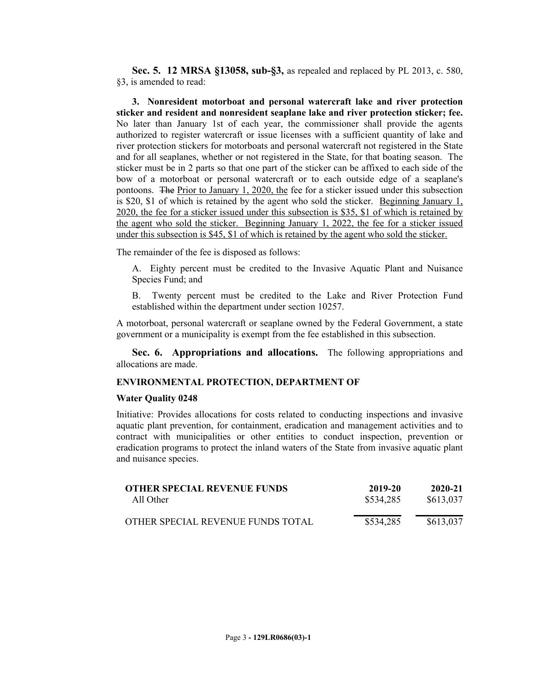**Sec. 5. 12 MRSA §13058, sub-§3,** as repealed and replaced by PL 2013, c. 580, §3, is amended to read:

**3. Nonresident motorboat and personal watercraft lake and river protection sticker and resident and nonresident seaplane lake and river protection sticker; fee.** No later than January 1st of each year, the commissioner shall provide the agents authorized to register watercraft or issue licenses with a sufficient quantity of lake and river protection stickers for motorboats and personal watercraft not registered in the State and for all seaplanes, whether or not registered in the State, for that boating season. The sticker must be in 2 parts so that one part of the sticker can be affixed to each side of the bow of a motorboat or personal watercraft or to each outside edge of a seaplane's pontoons. The Prior to January 1, 2020, the fee for a sticker issued under this subsection is \$20, \$1 of which is retained by the agent who sold the sticker. Beginning January 1, 2020, the fee for a sticker issued under this subsection is \$35, \$1 of which is retained by the agent who sold the sticker. Beginning January 1, 2022, the fee for a sticker issued under this subsection is \$45, \$1 of which is retained by the agent who sold the sticker.

The remainder of the fee is disposed as follows:

A. Eighty percent must be credited to the Invasive Aquatic Plant and Nuisance Species Fund; and

B. Twenty percent must be credited to the Lake and River Protection Fund established within the department under section 10257.

A motorboat, personal watercraft or seaplane owned by the Federal Government, a state government or a municipality is exempt from the fee established in this subsection.

**Sec. 6. Appropriations and allocations.** The following appropriations and allocations are made.

#### **ENVIRONMENTAL PROTECTION, DEPARTMENT OF**

#### **Water Quality 0248**

Initiative: Provides allocations for costs related to conducting inspections and invasive aquatic plant prevention, for containment, eradication and management activities and to contract with municipalities or other entities to conduct inspection, prevention or eradication programs to protect the inland waters of the State from invasive aquatic plant and nuisance species.

| <b>OTHER SPECIAL REVENUE FUNDS</b> | 2019-20   | 2020-21   |
|------------------------------------|-----------|-----------|
| All Other                          | \$534,285 | \$613,037 |
| OTHER SPECIAL REVENUE FUNDS TOTAL  | \$534,285 | \$613,037 |